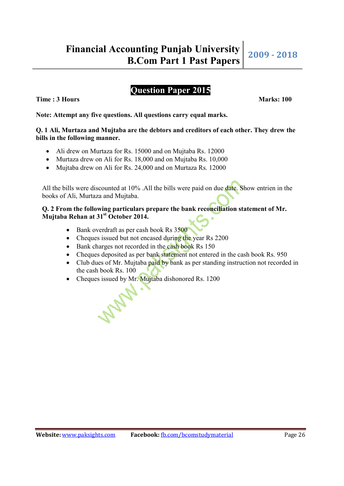# **Question Paper 2015**

**Time : 3 Hours Marks: 100** 

**Note: Attempt any five questions. All questions carry equal marks.** 

### **Q. 1 Ali, Murtaza and Mujtaba are the debtors and creditors of each other. They drew the bills in the following manner.**

- Ali drew on Murtaza for Rs. 15000 and on Mujtaba Rs. 12000
- Murtaza drew on Ali for Rs. 18,000 and on Mujtaba Rs. 10,000
- Mujtaba drew on Ali for Rs. 24,000 and on Murtaza Rs. 12000

All the bills were discounted at 10% .All the bills were paid on due date. Show entrien in the books of Ali, Murtaza and Mujtaba.

## **Q. 2 From the following particulars prepare the bank reconciliation statement of Mr. Mujtaba Rehan at 31st October 2014.**

- Bank overdraft as per cash book Rs 3500
- Cheques issued but not encased during the year Rs 2200
- Bank charges not recorded in the cash book Rs 150
- Cheques deposited as per bank statement not entered in the cash book Rs. 950
- Club dues of Mr. Mujtaba paid by bank as per standing instruction not recorded in the cash book Rs. 100
- Cheques issued by Mr. Mujtaba dishonored Rs. 1200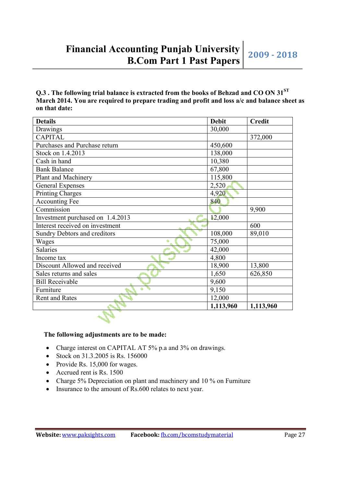## **Q.3 . The following trial balance is extracted from the books of Behzad and CO ON 31ST March 2014. You are required to prepare trading and profit and loss a/c and balance sheet as on that date:**

| <b>Details</b>                      | <b>Debit</b> | <b>Credit</b> |
|-------------------------------------|--------------|---------------|
| Drawings                            | 30,000       |               |
| <b>CAPITAL</b>                      |              | 372,000       |
| Purchases and Purchase return       | 450,600      |               |
| Stock on 1.4.2013                   | 138,000      |               |
| Cash in hand                        | 10,380       |               |
| <b>Bank Balance</b>                 | 67,800       |               |
| Plant and Machinery                 | 115,800      |               |
| <b>General Expenses</b>             | 2,520        |               |
| <b>Printing Charges</b>             | 4,920        |               |
| <b>Accounting Fee</b>               | 840          |               |
| Commission                          |              | 9,900         |
| Investment purchased on 1.4.2013    | 12,000       |               |
| Interest received on investment     |              | 600           |
| <b>Sundry Debtors and creditors</b> | 108,000      | 89,010        |
| Wages                               | 75,000       |               |
| <b>Salaries</b>                     | 42,000       |               |
| Income tax                          | 4,800        |               |
| Discount Allowed and received       | 18,900       | 13,800        |
| Sales returns and sales             | 1,650        | 626,850       |
| <b>Bill Receivable</b>              | 9,600        |               |
| Furniture                           | 9,150        |               |
| <b>Rent and Rates</b>               | 12,000       |               |
|                                     | 1,113,960    | 1,113,960     |
|                                     |              |               |

## **The following adjustments are to be made:**

- Charge interest on CAPITAL AT 5% p.a and 3% on drawings.
- Stock on 31.3.2005 is Rs. 156000
- Provide Rs.  $15,000$  for wages.
- Accrued rent is Rs. 1500
- Charge 5% Depreciation on plant and machinery and 10 % on Furniture
- Insurance to the amount of Rs.600 relates to next year.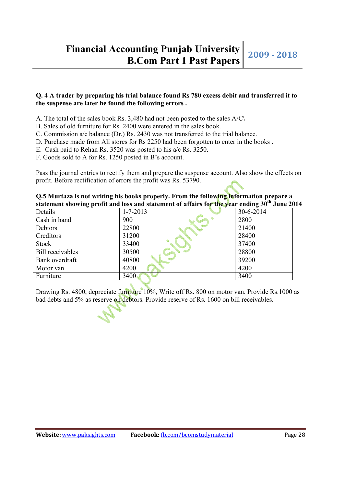#### **Q. 4 A trader by preparing his trial balance found Rs 780 excess debit and transferred it to the suspense are later he found the following errors .**

- A. The total of the sales book Rs. 3,480 had not been posted to the sales A/C\
- B. Sales of old furniture for Rs. 2400 were entered in the sales book.
- C. Commission a/c balance (Dr.) Rs. 2430 was not transferred to the trial balance.
- D. Purchase made from Ali stores for Rs 2250 had been forgotten to enter in the books .
- E. Cash paid to Rehan Rs. 3520 was posted to his a/c Rs. 3250.
- F. Goods sold to A for Rs. 1250 posted in B's account.

Pass the journal entries to rectify them and prepare the suspense account. Also show the effects on profit. Before rectification of errors the profit was Rs. 53790.

| Q.5 Murtaza is not writing his books properly. From the following information prepare a                   |  |
|-----------------------------------------------------------------------------------------------------------|--|
| statement showing profit and loss and statement of affairs for the year ending 30 <sup>th</sup> June 2014 |  |

| Details                 | $1 - 7 - 2013$ | 30-6-2014 |
|-------------------------|----------------|-----------|
| Cash in hand            | 900            | 2800      |
| Debtors                 | 22800          | 21400     |
| Creditors               | 31200          | 28400     |
| <b>Stock</b>            | 33400          | 37400     |
| <b>Bill</b> receivables | 30500          | 28800     |
| Bank overdraft          | 40800          | 39200     |
| Motor van               | 4200           | 4200      |
| Furniture               | 3400           | 3400      |

Drawing Rs. 4800, depreciate furniture 10%, Write off Rs. 800 on motor van. Provide Rs.1000 as bad debts and 5% as reserve on debtors. Provide reserve of Rs. 1600 on bill receivables.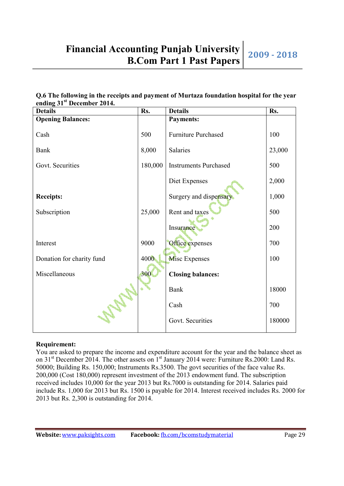| Q.6 The following in the receipts and payment of Murtaza foundation hospital for the year |  |
|-------------------------------------------------------------------------------------------|--|
| ending 31 <sup>st</sup> December 2014.                                                    |  |

| <b>Details</b>            | Rs.     | <b>Details</b>               | Rs.    |
|---------------------------|---------|------------------------------|--------|
| <b>Opening Balances:</b>  |         | <b>Payments:</b>             |        |
| Cash                      | 500     | <b>Furniture Purchased</b>   | 100    |
| Bank                      | 8,000   | Salaries                     | 23,000 |
| Govt. Securities          | 180,000 | <b>Instruments Purchased</b> | 500    |
|                           |         | Diet Expenses                | 2,000  |
| <b>Receipts:</b>          |         | Surgery and dispensary       | 1,000  |
| Subscription              | 25,000  | Rent and taxes               | 500    |
|                           |         | Insurance                    | 200    |
| Interest                  | 9000    | Office expenses              | 700    |
| Donation for charity fund | 4000    | <b>Misc Expenses</b>         | 100    |
| Miscellaneous             | 300     | <b>Closing balances:</b>     |        |
|                           |         | <b>Bank</b>                  | 18000  |
| <b>SOLA</b>               |         | Cash                         | 700    |
|                           |         | Govt. Securities             | 180000 |

#### **Requirement:**

You are asked to prepare the income and expenditure account for the year and the balance sheet as on 31<sup>st</sup> December 2014. The other assets on 1<sup>st</sup> January 2014 were: Furniture Rs.2000: Land Rs. 50000; Building Rs. 150,000; Instruments Rs.3500. The govt securities of the face value Rs. 200,000 (Cost 180,000) represent investment of the 2013 endowment fund. The subscription received includes 10,000 for the year 2013 but Rs.7000 is outstanding for 2014. Salaries paid include Rs. 1,000 for 2013 but Rs. 1500 is payable for 2014. Interest received includes Rs. 2000 for 2013 but Rs. 2,300 is outstanding for 2014.